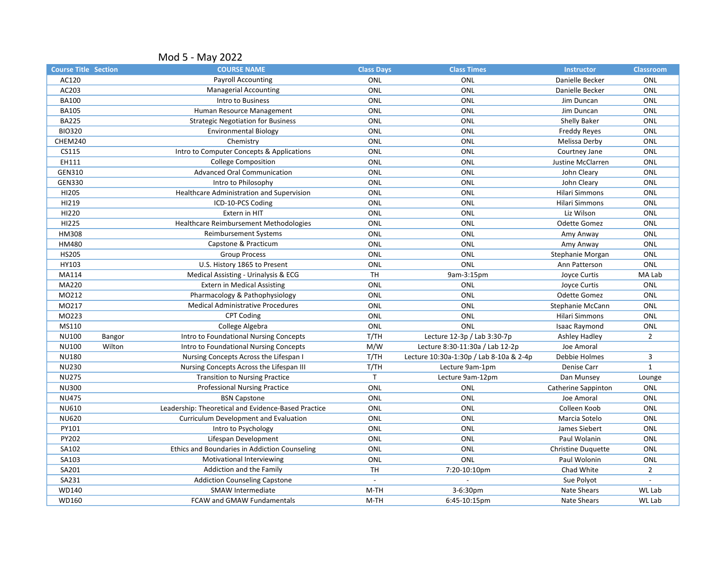|                             |        | Mod 5 - May 2022                                    |                   |                                         |                           |                  |
|-----------------------------|--------|-----------------------------------------------------|-------------------|-----------------------------------------|---------------------------|------------------|
| <b>Course Title Section</b> |        | <b>COURSE NAME</b>                                  | <b>Class Days</b> | <b>Class Times</b>                      | <b>Instructor</b>         | <b>Classroom</b> |
| AC120                       |        | <b>Payroll Accounting</b>                           | ONL               | ONL                                     | Danielle Becker           | ONL              |
| AC203                       |        | <b>Managerial Accounting</b>                        | ONL               | ONL                                     | Danielle Becker           | ONL              |
| <b>BA100</b>                |        | Intro to Business                                   | ONL               | ONL                                     | Jim Duncan                | ONL              |
| <b>BA105</b>                |        | Human Resource Management                           | ONL               | <b>ONL</b>                              | Jim Duncan                | ONL              |
| <b>BA225</b>                |        | <b>Strategic Negotiation for Business</b>           | ONL               | ONL                                     | Shelly Baker              | ONL              |
| <b>BIO320</b>               |        | <b>Environmental Biology</b>                        | ONL               | ONL                                     | Freddy Reyes              | ONL              |
| CHEM240                     |        | Chemistry                                           | ONL               | <b>ONL</b>                              | Melissa Derby             | ONL              |
| CS115                       |        | Intro to Computer Concepts & Applications           | ONL               | ONL                                     | Courtney Jane             | ONL              |
| EH111                       |        | <b>College Composition</b>                          | ONL               | ONL                                     | Justine McClarren         | <b>ONL</b>       |
| GEN310                      |        | <b>Advanced Oral Communication</b>                  | ONL               | ONL                                     | John Cleary               | ONL              |
| <b>GEN330</b>               |        | Intro to Philosophy                                 | ONL               | ONL                                     | John Cleary               | ONL              |
| HI205                       |        | Healthcare Administration and Supervision           | ONL               | <b>ONL</b>                              | Hilari Simmons            | ONL              |
| HI219                       |        | ICD-10-PCS Coding                                   | ONL               | ONL                                     | Hilari Simmons            | ONL              |
| HI220                       |        | Extern in HIT                                       | ONL               | <b>ONL</b>                              | Liz Wilson                | ONL              |
| HI225                       |        | Healthcare Reimbursement Methodologies              | ONL               | ONL                                     | Odette Gomez              | ONL              |
| <b>HM308</b>                |        | Reimbursement Systems                               | ONL               | ONL                                     | Amy Anway                 | ONL              |
| HM480                       |        | Capstone & Practicum                                | ONL               | <b>ONL</b>                              | Amy Anway                 | ONL              |
| <b>HS205</b>                |        | <b>Group Process</b>                                | ONL               | ONL                                     | Stephanie Morgan          | ONL              |
| HY103                       |        | U.S. History 1865 to Present                        | ONL               | ONL                                     | Ann Patterson             | ONL              |
| MA114                       |        | Medical Assisting - Urinalysis & ECG                | <b>TH</b>         | 9am-3:15pm                              | Joyce Curtis              | MA Lab           |
| MA220                       |        | <b>Extern in Medical Assisting</b>                  | ONL               | ONL                                     | Joyce Curtis              | ONL              |
| MO212                       |        | Pharmacology & Pathophysiology                      | ONL               | ONL                                     | <b>Odette Gomez</b>       | ONL              |
| M0217                       |        | <b>Medical Administrative Procedures</b>            | ONL               | <b>ONL</b>                              | Stephanie McCann          | ONL              |
| MO223                       |        | <b>CPT Coding</b>                                   | ONL               | ONL                                     | Hilari Simmons            | ONL              |
| MS110                       |        | College Algebra                                     | ONL               | ONL                                     | <b>Isaac Raymond</b>      | ONL              |
| NU100                       | Bangor | Intro to Foundational Nursing Concepts              | T/TH              | Lecture 12-3p / Lab 3:30-7p             | Ashley Hadley             | $\overline{2}$   |
| <b>NU100</b>                | Wilton | Intro to Foundational Nursing Concepts              | M/W               | Lecture 8:30-11:30a / Lab 12-2p         | Joe Amoral                |                  |
| <b>NU180</b>                |        | Nursing Concepts Across the Lifespan I              | T/TH              | Lecture 10:30a-1:30p / Lab 8-10a & 2-4p | Debbie Holmes             | 3                |
| <b>NU230</b>                |        | Nursing Concepts Across the Lifespan III            | T/TH              | Lecture 9am-1pm                         | Denise Carr               | $\mathbf{1}$     |
| <b>NU275</b>                |        | <b>Transition to Nursing Practice</b>               | $\mathsf{T}$      | Lecture 9am-12pm                        | Dan Munsey                | Lounge           |
| <b>NU300</b>                |        | <b>Professional Nursing Practice</b>                | ONL               | ONL                                     | Catherine Sappinton       | ONL              |
| <b>NU475</b>                |        | <b>BSN Capstone</b>                                 | ONL               | ONL                                     | Joe Amoral                | ONL              |
| <b>NU610</b>                |        | Leadership: Theoretical and Evidence-Based Practice | ONL               | ONL                                     | Colleen Koob              | ONL              |
| <b>NU620</b>                |        | Curriculum Development and Evaluation               | ONL               | ONL                                     | Marcia Sotelo             | ONL              |
| PY101                       |        | Intro to Psychology                                 | ONL               | ONL                                     | James Siebert             | ONL              |
| PY202                       |        | Lifespan Development                                | ONL               | ONL                                     | Paul Wolanin              | ONL              |
| SA102                       |        | Ethics and Boundaries in Addiction Counseling       | ONL               | ONL                                     | <b>Christine Duquette</b> | ONL              |
| SA103                       |        | Motivational Interviewing                           | ONL               | ONL                                     | Paul Wolonin              | ONL              |
| SA201                       |        | Addiction and the Family                            | <b>TH</b>         | 7:20-10:10pm                            | Chad White                | $\overline{2}$   |
| SA231                       |        | <b>Addiction Counseling Capstone</b>                | $\overline{a}$    |                                         | Sue Polyot                |                  |
| WD140                       |        | <b>SMAW Intermediate</b>                            | M-TH              | 3-6:30pm                                | <b>Nate Shears</b>        | WL Lab           |
| WD160                       |        | <b>FCAW and GMAW Fundamentals</b>                   | M-TH              | 6:45-10:15pm                            | <b>Nate Shears</b>        | WL Lab           |